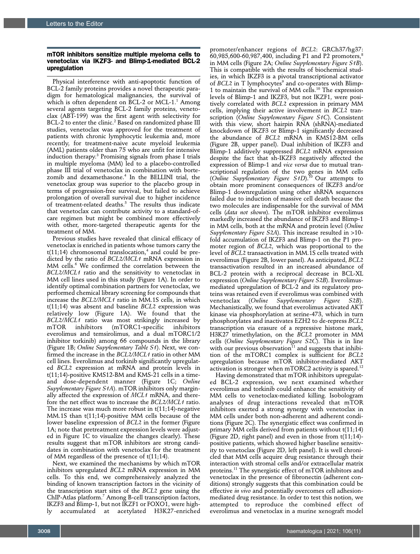## mTOR inhibitors sensitize multiple myeloma cells to venetoclax via IKZF3- and Blimp-1-mediated BCL-2 upregulation

Physical interference with anti-apoptotic function of BCL-2 family proteins provides a novel therapeutic paradigm for hematological malignancies, the survival of which is often dependent on BCL-2 or MCL-1. $^1$  Among several agents targeting BCL-2 family proteins, venetoclax (ABT-199) was the first agent with selectivity for BCL-2 to enter the clinic.<sup>2</sup> Based on randomized phase III studies, venetoclax was approved for the treatment of patients with chronic lymphocytic leukemia and, more recently, for treatment-naive acute myeloid leukemia (AML) patients older than 75 who are unfit for intensive induction therapy.3 Promising signals from phase I trials in multiple myeloma (MM) led to a placebo-controlled phase III trial of venetoclax in combination with bortezomib and dexamethasone.4 In the BELLINI trial, the venetoclax group was superior to the placebo group in terms of progression-free survival, but failed to achieve prolongation of overall survival due to higher incidence of treatment-related deaths.<sup>5</sup> The results thus indicate that venetoclax can contribute activity to a standard-ofcare regimen but might be combined more effectively with other, more-targeted therapeutic agents for the treatment of MM.

Previous studies have revealed that clinical efficacy of venetoclax is enriched in patients whose tumors carry the  $t(11;14)$  chromosomal translocation, $^4$  and could be predicted by the ratio of *BCL2/MCL1* mRNA expression in MM cells.<sup>6</sup> We confirmed the correlation between the *BCL2/MCL1* ratio and the sensitivity to venetoclax in MM cell lines used in this study (Figure 1A). In order to identify optimal combination partners for venetoclax, we performed chemical library screening for compounds that increase the *BCL2/MCL1* ratio in MM.1S cells, in which t(11;14) was absent and baseline *BCL2* expression was relatively low (Figure 1A). We found that the *BCL2/MCL1* ratio was most strikingly increased by<br>mTOR inhibitors (mTORC1-specific inhibitors (mTORC1-specific everolimus and temsirolimus, and a dual mTORC1/2 inhibitor torkinib) among 66 compounds in the library (Figure 1B; *Online Supplementary Table S1*). Next, we confirmed the increase in the *BCL2/MCL1* ratio in other MM cell lines. Everolimus and torkinib significantly upregulated *BCL2* expression at mRNA and protein levels in t(11;14)-positive KMS12-BM and KMS-21 cells in a timeand dose-dependent manner (Figure 1C; *Online Supplementary Figure S1A*). mTOR inhibitors only marginally affected the expression of *MCL1* mRNA, and therefore the net effect was to increase the *BCL2/MCL1* ratio. The increase was much more robust in  $t(11;14)$ -negative MM.1S than t(11;14)-positive MM cells because of the lower baseline expression of *BCL2* in the former (Figure 1A; note that pretreatment expression levels were adjusted in Figure 1C to visualize the changes clearly). These results suggest that mTOR inhibitors are strong candidates in combination with venetoclax for the treatment of MM regardless of the presence of t(11;14).

Next, we examined the mechanisms by which mTOR inhibitors upregulated *BCL2* mRNA expression in MM cells. To this end, we comprehensively analyzed the binding of known transcription factors in the vicinity of the transcription start sites of the *BCL2* gene using the ChIP-Atlas platform.<sup>7</sup> Among B-cell transcription factors, IKZF3 and Blimp-1, but not IKZF1 or FOXO1, were highly accumulated at acetylated H3K27-enriched

promoter/enhancer regions of *BCL2*: GRCh37/hg37:  $60,985,600$ -60,987,400, including P1 and P2 promoters,<sup>8</sup> in MM cells (Figure 2A; *Online Supplementary Figure S1B*). This is compatible with the results of biochemical studies, in which IKZF3 is a pivotal transcriptional activator of *BCL2* in T lymphocytes<sup>9</sup> and co-operates with Blimp-1 to maintain the survival of MM cells.<sup>10</sup> The expression levels of Blimp-1 and IKZF3, but not IKZF1, were positively correlated with *BCL2* expression in primary MM cells, implying their active involvement in *BCL2* transcription (*Online Supplementary Figure S1C*). Consistent with this view, short hairpin RNA (shRNA)-mediated knockdown of IKZF3 or Blimp-1 significantly decreased the abundance of *BCL2* mRNA in KMS12-BM cells (Figure 2B, upper panel). Dual inhibition of IKZF3 and Blimp-1 additively suppressed *BCL2* mRNA expression despite the fact that sh-IKZF3 negatively affected the expression of Blimp-1 and *vice versa* due to mutual transcriptional regulation of the two genes in MM cells (*Online Supplementary Figure S1D*).10 Our attempts to obtain more prominent consequences of IKZF3 and/or Blimp-1 downregulation using other shRNA sequences failed due to induction of massive cell death because the two molecules are indispensable for the survival of MM cells (*data not shown*). The mTOR inhibitor everolimus markedly increased the abundance of IKZF3 and Blimp-1 in MM cells, both at the mRNA and protein level (*Online Supplementary Figure S2A*). This increase resulted in >10 fold accumulation of IKZF3 and Blimp-1 on the P1 promoter region of *BCL2*, which was proportional to the level of *BCL2* transactivation in MM.1S cells treated with everolimus (Figure 2B, lower panel). As anticipated, *BCL2* transactivation resulted in an increased abundance of BCL-2 protein with a reciprocal decrease in BCL-XL expression (*Online Supplementary Figure S2B*). Everolimusmediated upregulation of BCL-2 and its regulatory proteins was retained even if everolimus was combined with venetoclax (*Online Supplementary Figure S2B*). Mechanistically, we found that everolimus activated AKT kinase via phosphorylation at serine-473, which in turn phosphorylates and inactivates EZH2 to de-repress *BCL2* transcription via erasure of a repressive histone mark, H3K27 trimethylation, on the *BCL2* promoter in MM cells (*Online Supplementary Figure S2C*). This is in line with our previous observation<sup>11</sup> and suggests that inhibition of the mTORC1 complex is sufficient for *BCL2* upregulation because mTOR inhibitor-mediated AKT activation is stronger when mTORC2 activity is spared.<sup>12</sup>

Having demonstrated that mTOR inhibitors upregulated BCL-2 expression, we next examined whether everolimus and torkinib could enhance the sensitivity of MM cells to venetoclax-mediated killing. Isobologram analyses of drug interactions revealed that mTOR inhibitors exerted a strong synergy with venetoclax in MM cells under both non-adherent and adherent conditions (Figure 2C). The synergistic effect was confirmed in primary MM cells derived from patients without t(11;14) (Figure 2D, right panel) and even in those from t(11;14) positive patients, which showed higher baseline sensitivity to venetoclax (Figure 2D, left panel). It is well chronicled that MM cells acquire drug resistance through their interaction with stromal cells and/or extracellular matrix proteins.11 The synergistic effect of mTOR inhibitors and venetoclax in the presence of fibronectin (adherent conditions) strongly suggests that this combination could be effective *in vivo* and potentially overcomes cell adhesionmediated drug resistance. In order to test this notion, we attempted to reproduce the combined effect of everolimus and venetoclax in a murine xenograft model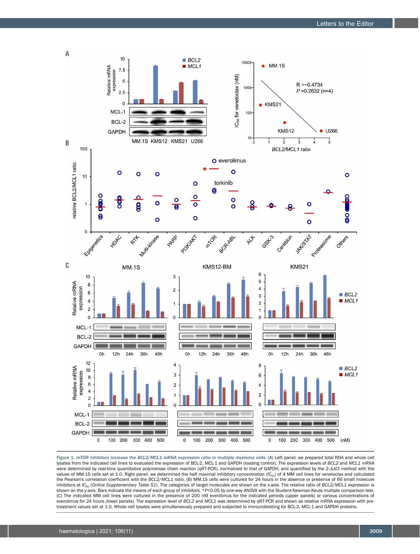

Figure 1. mTOR inhibitors increase the *BCL2/MCL1* mRNA expression ratio in multiple myeloma cells. (A) Left panel: we prepared total RNA and whole cell lysates from the indicated cell lines to evaluated the expression of BCL-2, MCL-1 and GAPDH (loading control). The expression levels of *BCL2* and *MCL1* mRNA were determined by real-time quantitative polymerase chain reaction (qRT-PCR), normalized to that of GAPDH, and quantified by the 2- $\Delta\Delta Ct$  method with the values of MM.1S cells set at 1.0. Right panel: we determined the half maximal inhibitory concentration  $(IC_{50})$  of 4 MM cell lines for venetoclax and calculated the Pearson's correlation coefficient with the *BCL2/MCL1* ratio. (B) MM.1S cells were cultured for 24 hours in the absence or presence of 66 small molecule inhibitors at IC<sub>50</sub> (Online Supplementary Table S1). The categories of target molecules are shown on the x-axis. The relative ratio of *BCL2/MCL1* expression is shown on the y-axis. Bars indicate the means of each group of inhibitors. \*P<0.05 by one-way ANOVA with the Student-Newman-Keuls multiple comparison test. (C) The indicated MM cell lines were cultured in the presence of 200 nM everolimus for the indicated periods (upper panels) or various concentrations of everolimus for 24 hours (lower panels). The expression level of *BCL2* and *MCL1* was determined by qRT-PCR and shown as relative mRNA expression with pretreatment values set at 1.0. Whole cell lysates were simultaneously prepared and subjected to immunoblotting for BCL-2, MCL-1 and GAPDH proteins.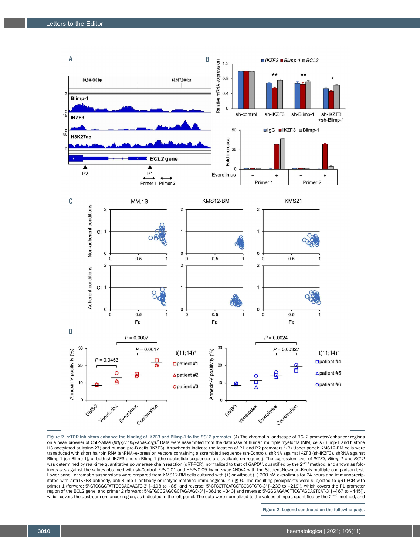

Figure 2. mTOR inhibitors enhance the binding of IKZF3 and Blimp-1 to the *BCL2* promoter. (A) The chromatin landscape of *BCL2* promoter/enhancer regions on a peak browser of ChIP-Atlas (http://chip-atlas.org).<sup>7</sup> Data were assembled from the database of human multiple myeloma (MM) cells (Blimp-1 and histone H3 acetylated at lysine-27) and human pre-B cells (IKZF3). Arrowheads indicate the location of P1 and P2 promoters.<sup>8</sup> (B) Upper panel: KMS12-BM cells were transduced with short hairpin RNA (shRNA)-expression vectors containing a scrambled sequence (sh-Control), shRNA against IKZF3 (sh-IKZF3), shRNA against Blimp-1 (sh-Blimp-1), or both sh-IKZF3 and sh-Blimp-1 (the nucleotide sequences are available on request). The expression level of *IKZF3, Blimp-1* and *BCL2*<br>was determined by real-time quantitative polymerase chain react Lower panel: chromatin suspensions were prepared from KMS12-BM cells cultured with (+) or without (−) 200 nM everolimus for 24 hours and immunoprecipitated with anti-IKZF3 antibody, anti-Blimp-1 antibody or isotype-matched immunoglobulin (Ig) G. The resulting precipitants were subjected to qRT-PCR with primer 1 (forward: 5'-GTCCGGTATTCGCAGAAGTC-3' [–108 to –88] and reverse: 5'-CTCCTTCATCGTCCCCTCTC-3' [–239 to –219]), which covers the P1 promoter region of the BCL2 gene, and primer 2 (forward: 5'-GTGCCGAGCGCTAGAAGC-3' [–361 to –343] and reverse: 5'-GGGAGAACTTCGTAGCAGTCAT-3' [–467 to –445]),<br>which covers the upstream enhancer region, as indicated in the left panel.

Figure 2. Legend continued on the following page.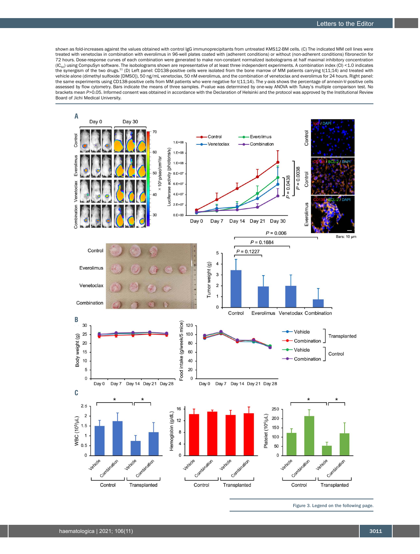shown as fold-increases against the values obtained with control IgG immunoprecipitants from untreated KMS12-BM cells. (C) The indicated MM cell lines were treated with venetoclax in combination with everolimus in 96-well plates coated with (adherent conditions) or without (non-adherent conditions) fibronectin for 72 hours. Dose-response curves of each combination were generated to make non-constant normalized isobolograms at half maximal inhibitory concentration (IC<sub>50</sub>) using CompuSyn software. The isobolograms shown are representative of at least three independent experiments. A combination index (CI) <1.0 indicates<br>the synergism of the two drugs.<sup>11</sup> (D) Left panel: CD138-posit vehicle alone (dimethyl sulfoxide [DMSO]), 50 ng/mL venetoclax, 50 nM everolimus, and the combination of venetoclax and everolimus for 24 hours. Right panel: the same experiments using CD138-positive cells from MM patients who were negative for t(11;14). The y-axis shows the percentage of annexin-V-positive cells assessed by flow cytometry. Bars indicate the means of three samples. *P*-value was determined by one-way ANOVA with Tukey's multiple comparison test. No brackets mean *P*>0.05. Informed consent was obtained in accordance with the Declaration of Helsinki and the protocol was approved by the Institutional Review Board of Jichi Medical University.



Figure 3. Legend on the following page.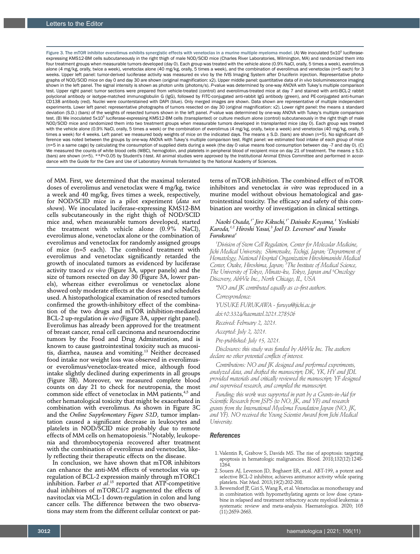Figure 3. The mTOR inhibitor everolimus exhibits synergistic effects with venetoclax in a murine multiple myeloma model. (A) We inoculated 5x10<sup>5</sup> luciferaseexpressing KMS12-BM cells subcutaneously in the right thigh of male NOD/SCID mice (Charles River Laboratories, Wilmington, MA) and randomized them into four treatment groups when measurable tumors developed (day 0). Each group was treated with the vehicle alone (0.9% NaCl, orally, 5 times a week), everolimus alone (4 mg/kg, orally, twice a week), venetoclax alone (40 mg/kg, orally, 5 times a week), and the combination of everolimus and venetoclax (n=5 each) for 3 weeks. Upper left panel: tumor-derived luciferase activity was measured *ex vivo* by the IVIS Imaging System after D-luciferin injection. Representative photographs of NOD/SCID mice on day 0 and day 30 are shown (original magnification: x2). Upper middle panel: quantitative data of *in vivo* bioluminescence imaging shown in the left panel. The signal intensity is shown as photon units (photons/s). *P*-value was determined by one-way ANOVA with Tukey's multiple comparison test. Upper right panel: tumor sections were prepared from vehicle-treated (control) and everolimus-treated mice at day 7 and stained with anti-BCL-2 rabbit polyclonal antibody or isotype-matched immunoglobulin G (IgG), followed by FITC-conjugated anti-rabbit IgG antibody (green), and PE-conjugated anti-human CD138 antibody (red). Nuclei were counterstained with DAPI (blue). Only merged images are shown. Data shown are representative of multiple independent experiments. Lower left panel: representative photographs of tumors resected on day 30 (original magnification: x2). Lower right panel: the means ± standard deviation (S.D.) (bars) of the weights of resected tumors shown in the left panel. *P*-value was determined by one-way ANOVA with Tukey's multiple comparison test. (B) We inoculated 5x10<sup>5</sup> luciferase-expressing KMS12-BM cells (transplanted) or culture medium alone (control) subcutaneously in the right thigh of male NOD/SCID mice and randomized them into two treatment groups when measurable tumors developed in transplanted mice (day 0). Each group was treated with the vehicle alone (0.9% NaCl, orally, 5 times a week) or the combination of everolimus (4 mg/kg, orally, twice a week) and venetoclax (40 mg/kg, orally, 5 times a week) for 4 weeks. Left panel: we measured body weights of mice on the indicated days. The means ± S.D. (bars) are shown (n=5). No significant difference was noted between the groups by one-way ANOVA with Tukey's multiple comparison test. Right panel: we estimated food intake of each group of mice (n=5 in a same cage) by calculating the consumption of supplied diets during a week (the day 0 value means food consumption between day -7 and day 0). (C) We measured the counts of white blood cells (WBC), hemoglobin, and platelets in peripheral blood of recipient mice on day 21 of treatment. The means ± S.D. (bars) are shown (n=5). \*\**P*<0.05 by Student's *t*-test. All animal studies were approved by the Institutional Animal Ethics Committee and performed in accordance with the Guide for the Care and Use of Laboratory Animals formulated by the National Academy of Sciences.

of MM. First, we determined that the maximal tolerated doses of everolimus and venetoclax were 4 mg/kg, twice a week and 40 mg/kg, fives times a week, respectively, for NOD/SCID mice in a pilot experiment (*data not shown*). We inoculated luciferase-expressing KMS12-BM cells subcutaneously in the right thigh of NOD/SCID mice and, when measurable tumors developed, started the treatment with vehicle alone (0.9% NaCl), everolimus alone, venetoclax alone or the combination of everolimus and venetoclax for randomly assigned groups of mice (n=5 each). The combined treatment with everolimus and venetoclax significantly retarded the growth of inoculated tumors as evidenced by luciferase activity traced *ex vivo* (Figure 3A, upper panels) and the size of tumors resected on day 30 (Figure 3A, lower panels), whereas either everolimus or venetoclax alone showed only moderate effects at the doses and schedules used. A histopathological examination of resected tumors confirmed the growth-inhibitory effect of the combination of the two drugs and mTOR inhibition-mediated BCL-2 up-regulation *in vivo* (Figure 3A, upper right panel). Everolimus has already been approved for the treatment of breast cancer, renal cell carcinoma and neuroendocrine tumors by the Food and Drug Adminstration, and is known to cause gastrointestinal toxicity such as mucositis, diarrhea, nausea and vomiting.<sup>13</sup> Neither decreased food intake nor weight loss was observed in everolimusor everolimus/venetoclax-treated mice, although food intake slightly declined during experiments in all groups (Figure 3B). Moreover, we measured complete blood counts on day 21 to check for neutropenia, the most common side effect of venetoclax in MM patients, 4,5 and other hematological toxicity that might be exacerbated in combination with everolimus. As shown in Figure 3C and the *Online Supplementary Figure S2D*, tumor implantation caused a significant decrease in leukocytes and platelets in NOD/SCID mice probably due to remote effects of MM cells on hematopoiesis.<sup>14</sup> Notably, leukopenia and thrombocytopenia recovered after treatment with the combination of everolimus and venetoclax, likely reflecting their therapeutic effects on the disease.

In conclusion, we have shown that mTOR inhibitors can enhance the anti-MM effects of venetoclax via upregulation of BCL-2 expression mainly through mTORC1 inhibition. Farber *et al*. 15 reported that ATP-competitive dual inhibitors of mTORC1/2 augmented the effects of navitoclax via MCL-1 down-regulation in colon and lung cancer cells. The difference between the two observations may stem from the different cellular context or pat-

terns of mTOR inhibition. The combined effect of mTOR inhibitors and venetoclax *in vitro* was reproduced in a murine model without obvious hematological and gastrointestinal toxicity. The efficacy and safety of this combination are worthy of investigation in clinical settings.

## *Naoki Osada,1\* Jiro Kikuchi,1\* Daisuke Koyama,1 Yoshiaki Kuroda,1,2 Hiroshi Yasui,3 Joel D. Leverson4 and Yusuke Furukawa1*

*1 Division of Stem Cell Regulation, Center for Molecular Medicine, Jichi Medical University, Shimotsuke, Tochigi, Japan; <sup>2</sup> Department of Hematology, National Hospital Organization Hiroshimanishi Medical Center, Otake, Hiroshima, Japan; <sup>3</sup> The Institute of Medical Science, The University of Tokyo, Minato-ku, Tokyo, Japan and <sup>4</sup> Oncology Discovery, AbbVie Inc., North Chicago, IL, USA* 

*\*NO and JK contributed equally as co-first authors.* 

*Correspondence:* 

*YUSUKE FURUKAWA - furuyu@jichi.ac.jp* 

*doi:10.3324/haematol.2021.278506* 

*Received: February 2, 2021.* 

*Accepted: July 2, 2021.* 

*Pre-published: July 15, 2021.* 

*Disclosures: this study was funded by AbbVie Inc. The authors declare no other potential conflicts of interest.* 

*Contributions: NO and JK designed and performed experiments, analyzed data, and drafted the manuscript; DK, YK, HY and JDL provided materials and critically reviewed the manuscript; YF designed and supervised research, and compiled the manuscript.* 

*Funding: this work was supported in part by a Grants-in-Aid for Scientific Research from JSPS (to NO, JK, and YF) and research grants from the International Myeloma Foundation Japan (NO, JK, and YF). NO received the Young Scientist Award from Jichi Medical University.* 

## *References*

- 1. Valentin R, Grabow S, Davids MS. The rise of apoptosis: targeting apoptosis in hematologic malignancies. Blood. 2018;132(12):1248- 1264.
- 2. Souers AJ, Leverson JD, Boghaert ER, et.al. ABT-199, a potent and selective BCL-2 inhibitor, achieves antitumor activity while sparing platelets. Nat Med. 2013;19(2):202-208.
- 3. Bewersdorf JP, Giri S, Wang R, et al. Venetoclax as monotherapy and in combination with hypomethylating agents or low dose cytarabine in relapsed and treatment refractory acute myeloid leukemia: a systematic review and meta-analysis. Haematologica. 2020; 105  $(11):2659-2663.$